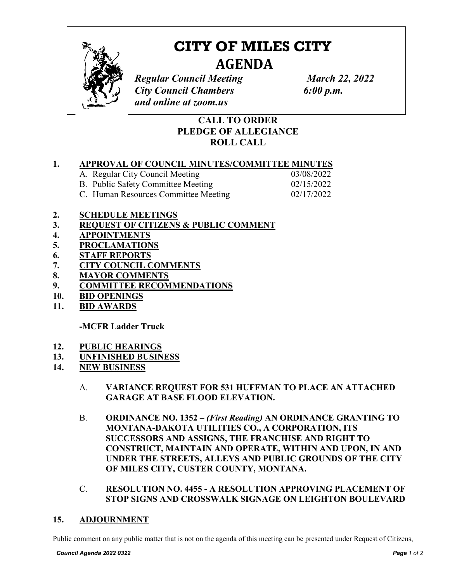

# **CITY OF MILES CITY AGENDA**

*Regular Council Meeting March 22, 2022 City Council Chambers 6:00 p.m. and online at zoom.us*

# **CALL TO ORDER PLEDGE OF ALLEGIANCE ROLL CALL**

## **1. APPROVAL OF COUNCIL MINUTES/COMMITTEE MINUTES**

| A. Regular City Council Meeting      | 03/08/2022 |
|--------------------------------------|------------|
| B. Public Safety Committee Meeting   | 02/15/2022 |
| C. Human Resources Committee Meeting | 02/17/2022 |

### **2. SCHEDULE MEETINGS**

- **3. REQUEST OF CITIZENS & PUBLIC COMMENT**
- **4. APPOINTMENTS**
- **5. PROCLAMATIONS**
- **6. STAFF REPORTS**
- **7. CITY COUNCIL COMMENTS**
- **8. MAYOR COMMENTS**
- **9. COMMITTEE RECOMMENDATIONS**
- **10. BID OPENINGS**
- **11. BID AWARDS**

**-MCFR Ladder Truck**

- **12. PUBLIC HEARINGS**
- **13. UNFINISHED BUSINESS**
- **14. NEW BUSINESS** 
	- A. **VARIANCE REQUEST FOR 531 HUFFMAN TO PLACE AN ATTACHED GARAGE AT BASE FLOOD ELEVATION.**
	- B. **ORDINANCE NO. 1352 –** *(First Reading)* **AN ORDINANCE GRANTING TO MONTANA-DAKOTA UTILITIES CO., A CORPORATION, ITS SUCCESSORS AND ASSIGNS, THE FRANCHISE AND RIGHT TO CONSTRUCT, MAINTAIN AND OPERATE, WITHIN AND UPON, IN AND UNDER THE STREETS, ALLEYS AND PUBLIC GROUNDS OF THE CITY OF MILES CITY, CUSTER COUNTY, MONTANA.**
	- C. **RESOLUTION NO. 4455 - A RESOLUTION APPROVING PLACEMENT OF STOP SIGNS AND CROSSWALK SIGNAGE ON LEIGHTON BOULEVARD**

#### **15. ADJOURNMENT**

Public comment on any public matter that is not on the agenda of this meeting can be presented under Request of Citizens,